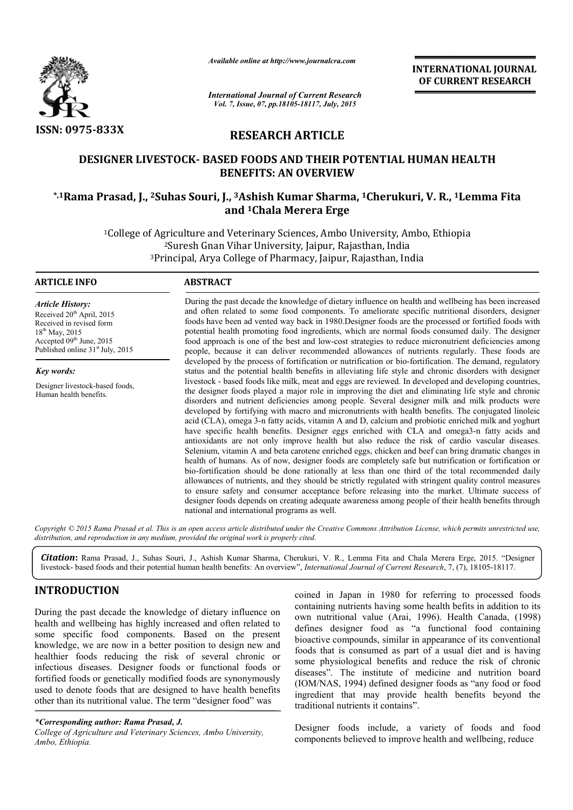

*Available online at http://www.journalcra.com*

*International Journal of Current Research Vol. 7, Issue, 07, pp.18105-18117, July, 2015*

INTERNATIONAL INTERNATIONAL JOURNAL OF CURRENT RESEARCH

# RESEARCH ARTICLE

# DESIGNER LIVESTOCK- BASED FOODS AND THEIR POTENTIAL HUMAN HEALTH BENEFITS: AN OVERVIEW

# \*,1Rama Prasad, J., <sup>2</sup>Suhas Souri, J., <sup>3</sup>Ashish Kumar Sharma, <sup>1</sup>Cherukuri, V. R., <sup>1</sup>Lemma Fita and 1Chala Merera Erge

<sup>1</sup>College of Agriculture and Veterinary Sciences, Ambo University, Ambo, Ethiopia<br><sup>2</sup>Suresh Gnan Vihar University, Jaipur, Rajasthan, India <sup>2</sup>Suresh Gnan Vihar University, Jaipur, Rajasthan, India of Agriculture and Veterinary Sciences, Ambo University, Amb<br><sup>2</sup>Suresh Gnan Vihar University, Jaipur, Rajasthan, India<br><sup>3</sup>Principal, Arya College of Pharmacy, Jaipur, Rajasthan, India

1

#### ARTICLE INFO ABSTRACT

*Key words:*

*Article History:* Received 20<sup>th</sup> April, 2015 Received in revised form 18<sup>th</sup> May, 2015 Accepted 09<sup>th</sup> June, 2015 Published online 31<sup>st</sup> July, 2015

Designer livestock-based foods, Human health benefits.

During the past decade the knowledge of dietary influence on health and wellbeing has been increased and often related to some food components. To ameliorate specific nutritional disorders, designer foods have been ad vented way back in 1980.Designer foods are the processed or fortified foods with potential health promoting food ingredients, which are normal foods consumed daily. The designer food approach is one of the best and low-cost strategies to reduce micronutrient deficiencies among people, because it can deliver recommended allowances of nutrients regularly. These foods are developed by the process of fortification or nutrification or bio bio-fortification. The demand, regulatory status and the potential health benefits in alleviating life style and chronic disorders with designer livestock - based foods like milk, meat and eggs are reviewed. In developed and developing countries, the designer foods played a major role in improving the diet and eliminating life style and chronic disorders and nutrient de deficiencies among people. Several designer milk and milk products were developed by fortifying with macro and micronutrients with health benefits. The conjugated linoleic acid (CLA), omega 3 3-n fatty acids, vitamin A and D, calcium and probiotic enriched mil have specific health benefits. Designer eggs enriched with CLA and omega3-n fatty acids and antioxidants are not only improve health but also reduce the risk of cardio vascular diseases. Selenium, vitamin A and beta carotene enriched eggs, chicken and beef can bring dramatic changes in health of humans. As of now, designer foods are completely safe but nutrification or fortification or bio-fortification should be done rationally at less than one third of the total recommended daily bio-fortification should be done rationally at less than one third of the total recommended daily allowances of nutrients, and they should be strictly regulated with stringent quality control measures to ensure safety and consumer acceptance before releasing into the market. Ultimate success of designer foods depends on creating adequate awareness among people of their health benefits through national and international programs as well. by some food components. To ameliorate specific nutritional disorders, designer vented way back in 1980.Designer foods are the processed or fortified foods with moting food ingredients, which are normal foods consumed dail sed foods like milk, meat and eggs are reviewed. In developed and developing countries, foods played a major role in improving the diet and eliminating life style and chronic in untrient deficiencies among people. Several ioxidants are not only improve health but also reduce the risk of cardio vascular diseases.<br>enium, vitamin A and beta carotene enriched eggs, chicken and beef can bring dramatic changes in<br>lth of humans. As of now, designe **INTERNATIONAL JOURNAL COURNEL (Search and COURNEL COURNEL (Search and COURNEL)**<br> **E**<br> **E**<br> **E**<br> **POTENTIAL HUMAN HEALTH**<br> **EW**<br> **EPOTENTIAL HUMAN HEALTH**<br> **EW**<br> **EPOTENTIAL HUMAN HEALTH**<br> **EW**<br> **EPOTENTIAL HUMAN HEALTH**<br>

Copyright © 2015 Rama Prasad et al. This is an open access article distributed under the Creative Commons Attribution License, which permits unrestricted use, *distribution, and reproduction in any medium, provided the original work is properly cited.*

Citation: Rama Prasad, J., Suhas Souri, J., Ashish Kumar Sharma, Cherukuri, V. R., Lemma Fita and Chala Merera Erge, 2015. "Designer livestock- based foods and their potential human health benefits: An overview", *International Journal of Current Research*, 7, (7), 18105-18117.

# INTRODUCTION

During the past decade the knowledge of dietary influence on health and wellbeing has highly increased and often related to some specific food components. Based on the present knowledge, we are now in a better position to design new and healthier foods reducing the risk of several chronic or infectious diseases. Designer foods or functional foods or fortified foods or genetically modified foods are synonymously used to denote foods that are designed to have health benefits other than its nutritional value. The term "designer food" was

*College of Agriculture and Veterinary Sciences, Ambo University, Ambo, Ethiopia.*

The the knowledge of dietary influence on<br>
the solution of the stress of dietary influence on<br>
has highly increased and often related to<br>
the present<br>
own nutritional value (Arai, 1996). Health Canada, (1998)<br>
defines desi containing nutrients having some health befits in addition to its own nutritional value (Arai, 1996). Health Canada, (1998) defines designer food as "a functional food containing bioactive compounds, similar in appearance of its conventional foods that is consumed as part of a usual diet and is having some physiological benefits and reduce the risk of chronic diseases". The institute of medicine and nutrition board (IOM/NAS, 1994) defined designer foods as ingredient that may provide health benefits beyond the traditional nutrients it contains". coined in Japan in 1980 for referring to processed foods<br>containing nutrients having some health befits in addition to its<br>own nutritional value (Arai, 1996). Health Canada, (1998)<br>defines designer food as "a functional fo

> Designer foods include, a variety of foods and food components believed to improve health and wellbeing, reduce

*<sup>\*</sup>Corresponding author: Rama Prasad, J.*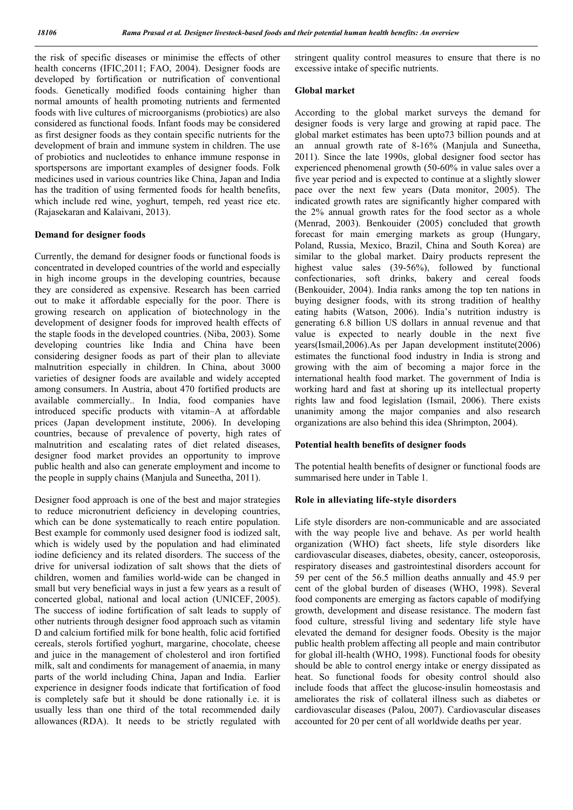the risk of specific diseases or minimise the effects of other health concerns (IFIC,2011; FAO, 2004). Designer foods are developed by fortification or nutrification of conventional foods. Genetically modified foods containing higher than normal amounts of health promoting nutrients and fermented foods with live cultures of microorganisms (probiotics) are also considered as functional foods. Infant foods may be considered as first designer foods as they contain specific nutrients for the development of brain and immune system in children. The use of probiotics and nucleotides to enhance immune response in sportspersons are important examples of designer foods. Folk medicines used in various countries like China, Japan and India has the tradition of using fermented foods for health benefits, which include red wine, yoghurt, tempeh, red yeast rice etc. (Rajasekaran and Kalaivani, 2013).

## Demand for designer foods

Currently, the demand for designer foods or functional foods is concentrated in developed countries of the world and especially in high income groups in the developing countries, because they are considered as expensive. Research has been carried out to make it affordable especially for the poor. There is growing research on application of biotechnology in the development of designer foods for improved health effects of the staple foods in the developed countries. (Niba, 2003). Some developing countries like India and China have been considering designer foods as part of their plan to alleviate malnutrition especially in children. In China, about 3000 varieties of designer foods are available and widely accepted among consumers. In Austria, about 470 fortified products are available commercially.. In India, food companies have introduced specific products with vitamin–A at affordable prices (Japan development institute, 2006). In developing countries, because of prevalence of poverty, high rates of malnutrition and escalating rates of diet related diseases, designer food market provides an opportunity to improve public health and also can generate employment and income to the people in supply chains (Manjula and Suneetha, 2011).

Designer food approach is one of the best and major strategies to reduce micronutrient deficiency in developing countries, which can be done systematically to reach entire population. Best example for commonly used designer food is iodized salt, which is widely used by the population and had eliminated iodine deficiency and its related disorders. The success of the drive for universal iodization of salt shows that the diets of children, women and families world-wide can be changed in small but very beneficial ways in just a few years as a result of concerted global, national and local action (UNICEF, 2005). The success of iodine fortification of salt leads to supply of other nutrients through designer food approach such as vitamin D and calcium fortified milk for bone health, folic acid fortified cereals, sterols fortified yoghurt, margarine, chocolate, cheese and juice in the management of cholesterol and iron fortified milk, salt and condiments for management of anaemia, in many parts of the world including China, Japan and India. Earlier experience in designer foods indicate that fortification of food is completely safe but it should be done rationally i.e. it is usually less than one third of the total recommended daily allowances (RDA). It needs to be strictly regulated with

stringent quality control measures to ensure that there is no excessive intake of specific nutrients.

#### Global market

According to the global market surveys the demand for designer foods is very large and growing at rapid pace. The global market estimates has been upto73 billion pounds and at an annual growth rate of 8-16% (Manjula and Suneetha, 2011). Since the late 1990s, global designer food sector has experienced phenomenal growth (50-60% in value sales over a five year period and is expected to continue at a slightly slower pace over the next few years (Data monitor, 2005). The indicated growth rates are significantly higher compared with the 2% annual growth rates for the food sector as a whole (Menrad, 2003). Benkouider (2005) concluded that growth forecast for main emerging markets as group (Hungary, Poland, Russia, Mexico, Brazil, China and South Korea) are similar to the global market. Dairy products represent the highest value sales (39-56%), followed by functional confectionaries, soft drinks, bakery and cereal foods (Benkouider, 2004). India ranks among the top ten nations in buying designer foods, with its strong tradition of healthy eating habits (Watson, 2006). India's nutrition industry is generating 6.8 billion US dollars in annual revenue and that value is expected to nearly double in the next five years(Ismail,2006).As per Japan development institute(2006) estimates the functional food industry in India is strong and growing with the aim of becoming a major force in the international health food market. The government of India is working hard and fast at shoring up its intellectual property rights law and food legislation (Ismail, 2006). There exists unanimity among the major companies and also research organizations are also behind this idea (Shrimpton, 2004).

## Potential health benefits of designer foods

The potential health benefits of designer or functional foods are summarised here under in Table 1*.* 

## Role in alleviating life-style disorders

Life style disorders are non-communicable and are associated with the way people live and behave. As per world health organization (WHO) fact sheets, life style disorders like cardiovascular diseases, diabetes, obesity, cancer, osteoporosis, respiratory diseases and gastrointestinal disorders account for 59 per cent of the 56.5 million deaths annually and 45.9 per cent of the global burden of diseases (WHO, 1998). Several food components are emerging as factors capable of modifying growth, development and disease resistance. The modern fast food culture, stressful living and sedentary life style have elevated the demand for designer foods. Obesity is the major public health problem affecting all people and main contributor for global ill-health (WHO, 1998). Functional foods for obesity should be able to control energy intake or energy dissipated as heat. So functional foods for obesity control should also include foods that affect the glucose-insulin homeostasis and ameliorates the risk of collateral illness such as diabetes or cardiovascular diseases (Palou, 2007). Cardiovascular diseases accounted for 20 per cent of all worldwide deaths per year.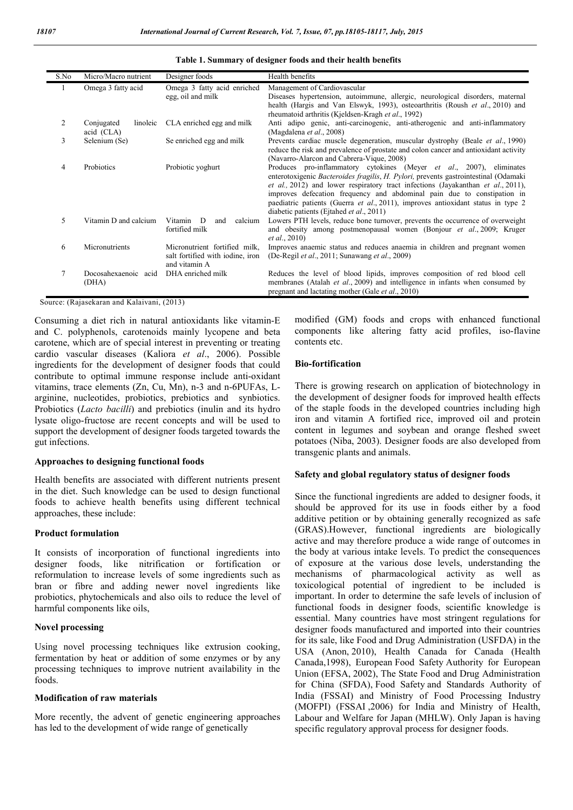|                        |                                                                                                                                 | Health benefits                                                                                                                                                                                        |
|------------------------|---------------------------------------------------------------------------------------------------------------------------------|--------------------------------------------------------------------------------------------------------------------------------------------------------------------------------------------------------|
| Omega 3 fatty acid     | Omega 3 fatty acid enriched                                                                                                     | Management of Cardiovascular                                                                                                                                                                           |
|                        | egg, oil and milk                                                                                                               | Diseases hypertension, autoimmune, allergic, neurological disorders, maternal                                                                                                                          |
|                        |                                                                                                                                 | health (Hargis and Van Elswyk, 1993), osteoarthritis (Roush et al., 2010) and                                                                                                                          |
|                        |                                                                                                                                 | rheumatoid arthritis (Kjeldsen-Kragh et al., 1992)                                                                                                                                                     |
| Conjugated<br>linoleic | CLA enriched egg and milk                                                                                                       | Anti adipo genic, anti-carcinogenic, anti-atherogenic and anti-inflammatory<br>(Magdalena et al., 2008)                                                                                                |
|                        |                                                                                                                                 | Prevents cardiac muscle degeneration, muscular dystrophy (Beale et al., 1990)                                                                                                                          |
|                        |                                                                                                                                 | reduce the risk and prevalence of prostate and colon cancer and antioxidant activity                                                                                                                   |
|                        |                                                                                                                                 | (Navarro-Alarcon and Cabrera-Vique, 2008)                                                                                                                                                              |
| Probiotics             | Probiotic yoghurt                                                                                                               | Produces pro-inflammatory cytokines (Meyer et al., 2007), eliminates                                                                                                                                   |
|                        |                                                                                                                                 | enterotoxigenic <i>Bacteroides fragilis, H. Pylori</i> , prevents gastrointestinal (Odamaki                                                                                                            |
|                        |                                                                                                                                 | <i>et al.</i> , 2012) and lower respiratory tract infections (Jayakanthan <i>et al.</i> , 2011),                                                                                                       |
|                        |                                                                                                                                 | improves defecation frequency and abdominal pain due to constipation in                                                                                                                                |
|                        |                                                                                                                                 | paediatric patients (Guerra et al., 2011), improves antioxidant status in type 2                                                                                                                       |
|                        |                                                                                                                                 | diabetic patients (Ejtahed et al., 2011)                                                                                                                                                               |
|                        |                                                                                                                                 | Lowers PTH levels, reduce bone turnover, prevents the occurrence of overweight                                                                                                                         |
|                        |                                                                                                                                 | and obesity among postmenopausal women (Bonjour et al., 2009; Kruger<br><i>et al.</i> , 2010)                                                                                                          |
|                        |                                                                                                                                 | Improves anaemic status and reduces anaemia in children and pregnant women                                                                                                                             |
|                        |                                                                                                                                 | (De-Regil <i>et al.</i> , 2011; Sunawang <i>et al.</i> , 2009)                                                                                                                                         |
|                        |                                                                                                                                 |                                                                                                                                                                                                        |
|                        |                                                                                                                                 | Reduces the level of blood lipids, improves composition of red blood cell                                                                                                                              |
|                        |                                                                                                                                 | membranes (Atalah <i>et al.</i> , 2009) and intelligence in infants when consumed by                                                                                                                   |
|                        |                                                                                                                                 | pregnant and lactating mother (Gale <i>et al.</i> , 2010)                                                                                                                                              |
|                        | Micro/Macro nutrient<br>acid (CLA)<br>Selenium (Se)<br>Vitamin D and calcium<br>Micronutrients<br>Docosahexaenoic acid<br>(DHA) | Designer foods<br>Se enriched egg and milk<br>Vitamin D<br>calcium<br>and<br>fortified milk<br>Micronutrient fortified milk,<br>salt fortified with iodine, iron<br>and vitamin A<br>DHA enriched milk |

#### Table 1. Summary of designer foods and their health benefits

Source: (Rajasekaran and Kalaivani, (2013)

Consuming a diet rich in natural antioxidants like vitamin-E and C. polyphenols, carotenoids mainly lycopene and beta carotene, which are of special interest in preventing or treating cardio vascular diseases (Kaliora *et al*., 2006). Possible ingredients for the development of designer foods that could contribute to optimal immune response include anti-oxidant vitamins, trace elements (Zn, Cu, Mn), n-3 and n-6PUFAs, Larginine, nucleotides, probiotics, prebiotics and synbiotics. Probiotics (*Lacto bacilli*) and prebiotics (inulin and its hydro lysate oligo-fructose are recent concepts and will be used to support the development of designer foods targeted towards the gut infections.

## Approaches to designing functional foods

Health benefits are associated with different nutrients present in the diet. Such knowledge can be used to design functional foods to achieve health benefits using different technical approaches, these include:

## Product formulation

It consists of incorporation of functional ingredients into designer foods, like nitrification or fortification or reformulation to increase levels of some ingredients such as bran or fibre and adding newer novel ingredients like probiotics, phytochemicals and also oils to reduce the level of harmful components like oils,

## Novel processing

Using novel processing techniques like extrusion cooking, fermentation by heat or addition of some enzymes or by any processing techniques to improve nutrient availability in the foods.

## Modification of raw materials

More recently, the advent of genetic engineering approaches has led to the development of wide range of genetically

modified (GM) foods and crops with enhanced functional components like altering fatty acid profiles, iso-flavine contents etc.

#### Bio-fortification

There is growing research on application of biotechnology in the development of designer foods for improved health effects of the staple foods in the developed countries including high iron and vitamin A fortified rice, improved oil and protein content in legumes and soybean and orange fleshed sweet potatoes (Niba, 2003). Designer foods are also developed from transgenic plants and animals.

## Safety and global regulatory status of designer foods

Since the functional ingredients are added to designer foods, it should be approved for its use in foods either by a food additive petition or by obtaining generally recognized as safe (GRAS).However, functional ingredients are biologically active and may therefore produce a wide range of outcomes in the body at various intake levels. To predict the consequences of exposure at the various dose levels, understanding the mechanisms of pharmacological activity as well as toxicological potential of ingredient to be included is important. In order to determine the safe levels of inclusion of functional foods in designer foods, scientific knowledge is essential. Many countries have most stringent regulations for designer foods manufactured and imported into their countries for its sale, like Food and Drug Administration (USFDA) in the USA (Anon, 2010), Health Canada for Canada (Health Canada,1998), European Food Safety Authority for European Union (EFSA, 2002), The State Food and Drug Administration for China (SFDA), Food Safety and Standards Authority of India (FSSAI) and Ministry of Food Processing Industry (MOFPI) (FSSAI ,2006) for India and Ministry of Health, Labour and Welfare for Japan (MHLW). Only Japan is having specific regulatory approval process for designer foods.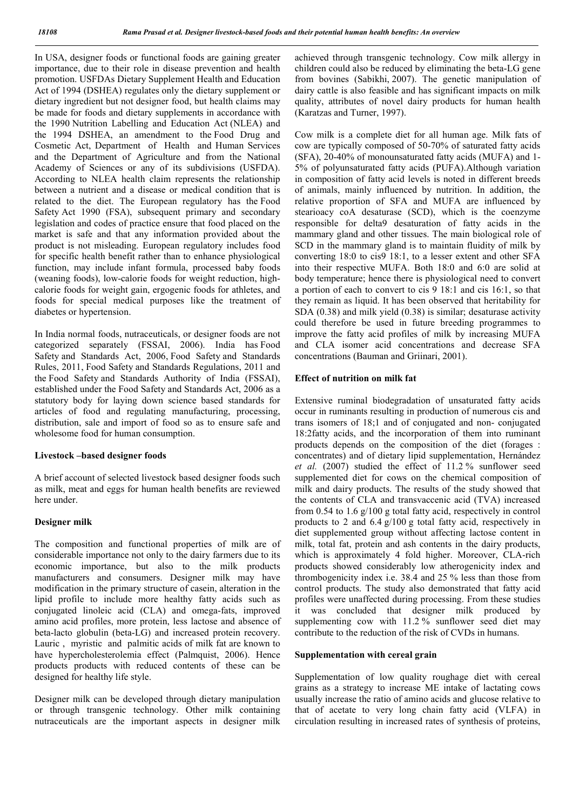In USA, designer foods or functional foods are gaining greater importance, due to their role in disease prevention and health promotion. USFDAs Dietary Supplement Health and Education Act of 1994 (DSHEA) regulates only the dietary supplement or dietary ingredient but not designer food, but health claims may be made for foods and dietary supplements in accordance with the 1990 Nutrition Labelling and Education Act (NLEA) and the 1994 DSHEA, an amendment to the Food Drug and Cosmetic Act, Department of Health and Human Services and the Department of Agriculture and from the National Academy of Sciences or any of its subdivisions (USFDA). According to NLEA health claim represents the relationship between a nutrient and a disease or medical condition that is related to the diet. The European regulatory has the Food Safety Act 1990 (FSA), subsequent primary and secondary legislation and codes of practice ensure that food placed on the market is safe and that any information provided about the product is not misleading. European regulatory includes food for specific health benefit rather than to enhance physiological function, may include infant formula, processed baby foods (weaning foods), low-calorie foods for weight reduction, highcalorie foods for weight gain, ergogenic foods for athletes, and foods for special medical purposes like the treatment of diabetes or hypertension.

In India normal foods, nutraceuticals, or designer foods are not categorized separately (FSSAI, 2006). India has Food Safety and Standards Act, 2006, Food Safety and Standards Rules, 2011, Food Safety and Standards Regulations, 2011 and the Food Safety and Standards Authority of India (FSSAI), established under the Food Safety and Standards Act, 2006 as a statutory body for laying down science based standards for articles of food and regulating manufacturing, processing, distribution, sale and import of food so as to ensure safe and wholesome food for human consumption.

## Livestock –based designer foods

A brief account of selected livestock based designer foods such as milk, meat and eggs for human health benefits are reviewed here under.

## Designer milk

The composition and functional properties of milk are of considerable importance not only to the dairy farmers due to its economic importance, but also to the milk products manufacturers and consumers. Designer milk may have modification in the primary structure of casein, alteration in the lipid profile to include more healthy fatty acids such as conjugated linoleic acid (CLA) and omega-fats, improved amino acid profiles, more protein, less lactose and absence of beta-lacto globulin (beta-LG) and increased protein recovery. Lauric , myristic and palmitic acids of milk fat are known to have hypercholesterolemia effect (Palmquist, 2006). Hence products products with reduced contents of these can be designed for healthy life style.

Designer milk can be developed through dietary manipulation or through transgenic technology. Other milk containing nutraceuticals are the important aspects in designer milk

achieved through transgenic technology. Cow milk allergy in children could also be reduced by eliminating the beta-LG gene from bovines (Sabikhi, 2007). The genetic manipulation of dairy cattle is also feasible and has significant impacts on milk quality, attributes of novel dairy products for human health (Karatzas and Turner, 1997).

Cow milk is a complete diet for all human age. Milk fats of cow are typically composed of 50-70% of saturated fatty acids (SFA), 20-40% of monounsaturated fatty acids (MUFA) and 1- 5% of polyunsaturated fatty acids (PUFA).Although variation in composition of fatty acid levels is noted in different breeds of animals, mainly influenced by nutrition. In addition, the relative proportion of SFA and MUFA are influenced by stearioacy coA desaturase (SCD), which is the coenzyme responsible for delta9 desaturation of fatty acids in the mammary gland and other tissues. The main biological role of SCD in the mammary gland is to maintain fluidity of milk by converting 18:0 to cis9 18:1, to a lesser extent and other SFA into their respective MUFA. Both 18:0 and 6:0 are solid at body temperature; hence there is physiological need to convert a portion of each to convert to cis 9 18:1 and cis 16:1, so that they remain as liquid. It has been observed that heritability for SDA (0.38) and milk yield (0.38) is similar; desaturase activity could therefore be used in future breeding programmes to improve the fatty acid profiles of milk by increasing MUFA and CLA isomer acid concentrations and decrease SFA concentrations (Bauman and Griinari, 2001).

## Effect of nutrition on milk fat

Extensive ruminal biodegradation of unsaturated fatty acids occur in ruminants resulting in production of numerous cis and trans isomers of 18;1 and of conjugated and non- conjugated 18:2fatty acids, and the incorporation of them into ruminant products depends on the composition of the diet (forages : concentrates) and of dietary lipid supplementation, Hernández *et al.* (2007) studied the effect of 11.2 % sunflower seed supplemented diet for cows on the chemical composition of milk and dairy products. The results of the study showed that the contents of CLA and transvaccenic acid (TVA) increased from 0.54 to 1.6 g/100 g total fatty acid, respectively in control products to 2 and 6.4 g/100 g total fatty acid, respectively in diet supplemented group without affecting lactose content in milk, total fat, protein and ash contents in the dairy products, which is approximately 4 fold higher. Moreover, CLA-rich products showed considerably low atherogenicity index and thrombogenicity index i.e. 38.4 and 25 % less than those from control products. The study also demonstrated that fatty acid profiles were unaffected during processing. From these studies it was concluded that designer milk produced by supplementing cow with 11.2 % sunflower seed diet may contribute to the reduction of the risk of CVDs in humans.

## Supplementation with cereal grain

Supplementation of low quality roughage diet with cereal grains as a strategy to increase ME intake of lactating cows usually increase the ratio of amino acids and glucose relative to that of acetate to very long chain fatty acid (VLFA) in circulation resulting in increased rates of synthesis of proteins,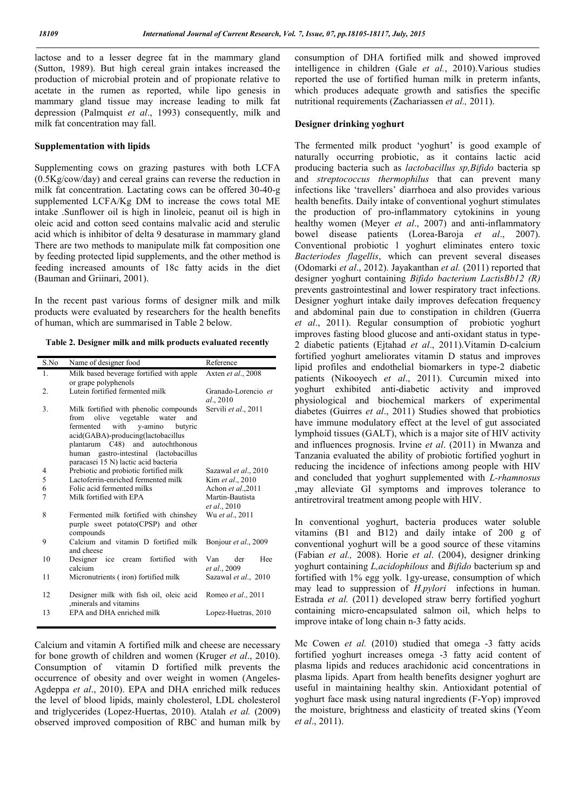lactose and to a lesser degree fat in the mammary gland (Sutton, 1989). But high cereal grain intakes increased the production of microbial protein and of propionate relative to acetate in the rumen as reported, while lipo genesis in mammary gland tissue may increase leading to milk fat depression (Palmquist *et al*., 1993) consequently, milk and milk fat concentration may fall.

#### Supplementation with lipids

Supplementing cows on grazing pastures with both LCFA (0.5Kg/cow/day) and cereal grains can reverse the reduction in milk fat concentration. Lactating cows can be offered 30-40-g supplemented LCFA/Kg DM to increase the cows total ME intake .Sunflower oil is high in linoleic, peanut oil is high in oleic acid and cotton seed contains malvalic acid and sterulic acid which is inhibitor of delta 9 desaturase in mammary gland There are two methods to manipulate milk fat composition one by feeding protected lipid supplements, and the other method is feeding increased amounts of 18c fatty acids in the diet (Bauman and Griinari, 2001).

In the recent past various forms of designer milk and milk products were evaluated by researchers for the health benefits of human, which are summarised in Table 2 below.

Table 2. Designer milk and milk products evaluated recently

| S.No           | Name of designer food                                                         | Reference                            |
|----------------|-------------------------------------------------------------------------------|--------------------------------------|
| 1.             | Milk based beverage fortified with apple                                      | Axten et al., 2008                   |
|                | or grape polyphenols                                                          |                                      |
| 2.             | Lutein fortified fermented milk                                               | Granado-Lorencio et                  |
|                |                                                                               | al., 2010                            |
| 3.             | Milk fortified with phenolic compounds                                        | Servili et al., 2011                 |
|                | olive<br>vegetable water<br>and<br>from                                       |                                      |
|                | with<br>y-amino<br>fermented<br>butyric                                       |                                      |
|                | acid(GABA)-producing(lactobacillus                                            |                                      |
|                | plantarum C48) and autochthonous<br>gastro-intestinal (lactobacillus<br>human |                                      |
|                | paracasei 15 N) lactic acid bacteria                                          |                                      |
| 4              | Prebiotic and probiotic fortified milk                                        | Sazawal et al., 2010                 |
| 5              | Lactoferrin-enriched fermented milk                                           | Kim et al., 2010                     |
| 6              | Folic acid fermented milks                                                    | Achon et al., 2011                   |
| $\overline{7}$ | Milk fortified with EPA                                                       | Martin-Bautista                      |
|                |                                                                               | et al., 2010                         |
| 8              | Fermented milk fortified with chinshey                                        | Wu et al., 2011                      |
|                | purple sweet potato(CPSP) and other                                           |                                      |
|                | compounds                                                                     |                                      |
| 9              | Calcium and vitamin D fortified milk                                          | Bonjour et al., 2009                 |
| 10             | and cheese                                                                    | der<br>Hee                           |
|                | Designer ice cream fortified with<br>calcium                                  | Van                                  |
| 11             | Micronutrients (iron) fortified milk                                          | et al., 2009<br>Sazawal et al., 2010 |
|                |                                                                               |                                      |
| 12             | Designer milk with fish oil, oleic acid                                       | Romeo et al., 2011                   |
|                | minerals and vitamins                                                         |                                      |
| 13             | EPA and DHA enriched milk                                                     | Lopez-Huetras, 2010                  |
|                |                                                                               |                                      |

Calcium and vitamin A fortified milk and cheese are necessary for bone growth of children and women (Kruger *et al*., 2010). Consumption of vitamin D fortified milk prevents the occurrence of obesity and over weight in women (Angeles-Agdeppa *et al*., 2010). EPA and DHA enriched milk reduces the level of blood lipids, mainly cholesterol, LDL cholesterol and triglycerides (Lopez-Huertas, 2010). Atalah *et al.* (2009) observed improved composition of RBC and human milk by consumption of DHA fortified milk and showed improved intelligence in children (Gale *et al.*, 2010).Various studies reported the use of fortified human milk in preterm infants, which produces adequate growth and satisfies the specific nutritional requirements (Zachariassen *et al.,* 2011).

#### Designer drinking yoghurt

The fermented milk product 'yoghurt' is good example of naturally occurring probiotic, as it contains lactic acid producing bacteria such as *lactobacillus sp,Bifido* bacteria sp and *streptococcus thermophilus* that can prevent many infections like 'travellers' diarrhoea and also provides various health benefits. Daily intake of conventional yoghurt stimulates the production of pro-inflammatory cytokinins in young healthy women (Meyer *et al*., 2007) and anti-inflammatory bowel disease patients (Lorea-Baroja *et al*., 2007). Conventional probiotic l yoghurt eliminates entero toxic *Bacteriodes flagellis*, which can prevent several diseases (Odomarki *et al*., 2012). Jayakanthan *et al.* (2011) reported that designer yoghurt containing *Bifido bacterium LactisBb12 (R)* prevents gastrointestinal and lower respiratory tract infections. Designer yoghurt intake daily improves defecation frequency and abdominal pain due to constipation in children (Guerra *et al*., 2011). Regular consumption of probiotic yoghurt improves fasting blood glucose and anti-oxidant status in type-2 diabetic patients (Ejtahad *et al*., 2011).Vitamin D-calcium fortified yoghurt ameliorates vitamin D status and improves lipid profiles and endothelial biomarkers in type-2 diabetic patients (Nikooyech *et al*., 2011). Curcumin mixed into yoghurt exhibited anti-diabetic activity and improved physiological and biochemical markers of experimental diabetes (Guirres *et al*., 2011) Studies showed that probiotics have immune modulatory effect at the level of gut associated lymphoid tissues (GALT), which is a major site of HIV activity and influences prognosis. Irvine *et al*. (2011) in Mwanza and Tanzania evaluated the ability of probiotic fortified yoghurt in reducing the incidence of infections among people with HIV and concluded that yoghurt supplemented with *L-rhamnosus* ,may alleviate GI symptoms and improves tolerance to antiretroviral treatment among people with HIV.

In conventional yoghurt, bacteria produces water soluble vitamins (B1 and B12) and daily intake of 200 g of conventional yoghurt will be a good source of these vitamins (Fabian *et al.,* 2008). Horie *et al*. (2004), designer drinking yoghurt containing *L,acidophilous* and *Bifido* bacterium sp and fortified with 1% egg yolk. 1gy-urease, consumption of which may lead to suppression of *H.pylori* infections in human. Estrada *et al.* (2011) developed straw berry fortified yoghurt containing micro-encapsulated salmon oil, which helps to improve intake of long chain n-3 fatty acids.

Mc Cowen *et al.* (2010) studied that omega -3 fatty acids fortified yoghurt increases omega -3 fatty acid content of plasma lipids and reduces arachidonic acid concentrations in plasma lipids. Apart from health benefits designer yoghurt are useful in maintaining healthy skin. Antioxidant potential of yoghurt face mask using natural ingredients (F-Yop) improved the moisture, brightness and elasticity of treated skins (Yeom *et al*., 2011).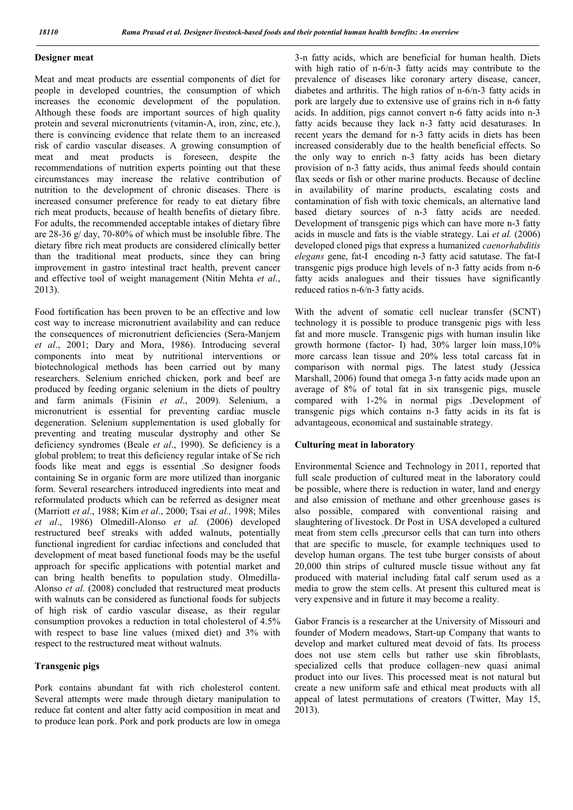## Designer meat

Meat and meat products are essential components of diet for people in developed countries, the consumption of which increases the economic development of the population. Although these foods are important sources of high quality protein and several micronutrients (vitamin-A, iron, zinc, etc.), there is convincing evidence that relate them to an increased risk of cardio vascular diseases. A growing consumption of meat and meat products is foreseen, despite the recommendations of nutrition experts pointing out that these circumstances may increase the relative contribution of nutrition to the development of chronic diseases. There is increased consumer preference for ready to eat dietary fibre rich meat products, because of health benefits of dietary fibre. For adults, the recommended acceptable intakes of dietary fibre are 28-36 g/ day, 70-80% of which must be insoluble fibre. The dietary fibre rich meat products are considered clinically better than the traditional meat products, since they can bring improvement in gastro intestinal tract health, prevent cancer and effective tool of weight management (Nitin Mehta *et al*., 2013).

Food fortification has been proven to be an effective and low cost way to increase micronutrient availability and can reduce the consequences of micronutrient deficiencies (Sera-Manjem *et al*., 2001; Dary and Mora, 1986). Introducing several components into meat by nutritional interventions or biotechnological methods has been carried out by many researchers. Selenium enriched chicken, pork and beef are produced by feeding organic selenium in the diets of poultry and farm animals (Fisinin *et al*., 2009). Selenium, a micronutrient is essential for preventing cardiac muscle degeneration. Selenium supplementation is used globally for preventing and treating muscular dystrophy and other Se deficiency syndromes (Beale *et al*., 1990). Se deficiency is a global problem; to treat this deficiency regular intake of Se rich foods like meat and eggs is essential .So designer foods containing Se in organic form are more utilized than inorganic form. Several researchers introduced ingredients into meat and reformulated products which can be referred as designer meat (Marriott *et al*., 1988; Kim *et al*., 2000; Tsai *et al.,* 1998; Miles *et al*., 1986) Olmedill-Alonso *et al.* (2006) developed restructured beef streaks with added walnuts, potentially functional ingredient for cardiac infections and concluded that development of meat based functional foods may be the useful approach for specific applications with potential market and can bring health benefits to population study. Olmedilla-Alonso *et al.* (2008) concluded that restructured meat products with walnuts can be considered as functional foods for subjects of high risk of cardio vascular disease, as their regular consumption provokes a reduction in total cholesterol of 4.5% with respect to base line values (mixed diet) and 3% with respect to the restructured meat without walnuts.

## Transgenic pigs

Pork contains abundant fat with rich cholesterol content. Several attempts were made through dietary manipulation to reduce fat content and alter fatty acid composition in meat and to produce lean pork. Pork and pork products are low in omega

3-n fatty acids, which are beneficial for human health. Diets with high ratio of n-6/n-3 fatty acids may contribute to the prevalence of diseases like coronary artery disease, cancer, diabetes and arthritis. The high ratios of n-6/n-3 fatty acids in pork are largely due to extensive use of grains rich in n-6 fatty acids. In addition, pigs cannot convert n-6 fatty acids into n-3 fatty acids because they lack n-3 fatty acid desaturases. In recent years the demand for n-3 fatty acids in diets has been increased considerably due to the health beneficial effects. So the only way to enrich n-3 fatty acids has been dietary provision of n-3 fatty acids, thus animal feeds should contain flax seeds or fish or other marine products. Because of decline in availability of marine products, escalating costs and contamination of fish with toxic chemicals, an alternative land based dietary sources of n-3 fatty acids are needed. Development of transgenic pigs which can have more n-3 fatty acids in muscle and fats is the viable strategy. Lai *et al.* (2006) developed cloned pigs that express a humanized *caenorhabditis elegans* gene, fat-I encoding n-3 fatty acid satutase. The fat-I transgenic pigs produce high levels of n-3 fatty acids from n-6 fatty acids analogues and their tissues have significantly reduced ratios n-6/n-3 fatty acids.

With the advent of somatic cell nuclear transfer (SCNT) technology it is possible to produce transgenic pigs with less fat and more muscle. Transgenic pigs with human insulin like growth hormone (factor- I) had, 30% larger loin mass,10% more carcass lean tissue and 20% less total carcass fat in comparison with normal pigs. The latest study (Jessica Marshall, 2006) found that omega 3-n fatty acids made upon an average of 8% of total fat in six transgenic pigs, muscle compared with 1-2% in normal pigs .Development of transgenic pigs which contains n-3 fatty acids in its fat is advantageous, economical and sustainable strategy.

## Culturing meat in laboratory

Environmental Science and Technology in 2011, reported that full scale production of cultured meat in the laboratory could be possible, where there is reduction in water, land and energy and also emission of methane and other greenhouse gases is also possible, compared with conventional raising and slaughtering of livestock. Dr Post in USA developed a cultured meat from stem cells ,precursor cells that can turn into others that are specific to muscle, for example techniques used to develop human organs. The test tube burger consists of about 20,000 thin strips of cultured muscle tissue without any fat produced with material including fatal calf serum used as a media to grow the stem cells. At present this cultured meat is very expensive and in future it may become a reality.

Gabor Francis is a researcher at the University of Missouri and founder of Modern meadows, Start-up Company that wants to develop and market cultured meat devoid of fats. Its process does not use stem cells but rather use skin fibroblasts, specialized cells that produce collagen–new quasi animal product into our lives. This processed meat is not natural but create a new uniform safe and ethical meat products with all appeal of latest permutations of creators (Twitter, May 15, 2013).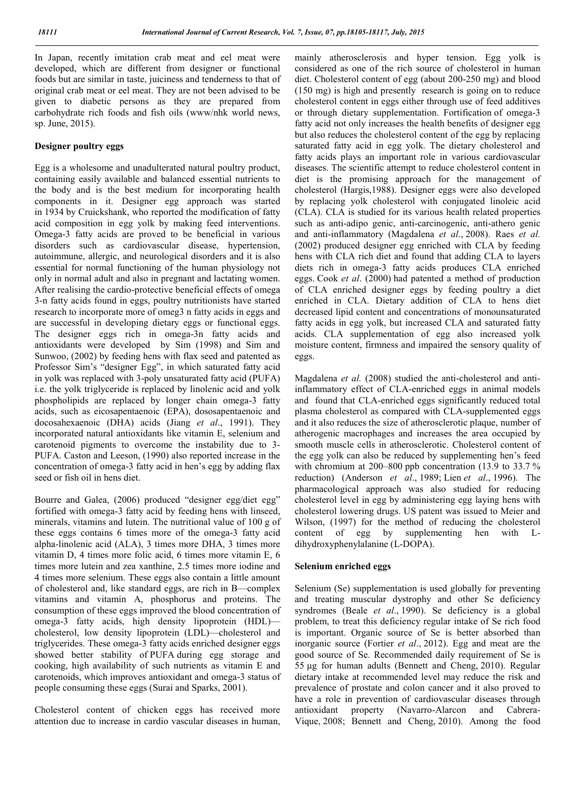In Japan, recently imitation crab meat and eel meat were developed, which are different from designer or functional foods but are similar in taste, juiciness and tenderness to that of original crab meat or eel meat. They are not been advised to be given to diabetic persons as they are prepared from carbohydrate rich foods and fish oils (www/nhk world news, sp. June, 2015).

## Designer poultry eggs

Egg is a wholesome and unadulterated natural poultry product, containing easily available and balanced essential nutrients to the body and is the best medium for incorporating health components in it. Designer egg approach was started in 1934 by Cruickshank, who reported the modification of fatty acid composition in egg yolk by making feed interventions. Omega-3 fatty acids are proved to be beneficial in various disorders such as cardiovascular disease, hypertension, autoimmune, allergic, and neurological disorders and it is also essential for normal functioning of the human physiology not only in normal adult and also in pregnant and lactating women. After realising the cardio-protective beneficial effects of omega 3-n fatty acids found in eggs, poultry nutritionists have started research to incorporate more of omeg3 n fatty acids in eggs and are successful in developing dietary eggs or functional eggs. The designer eggs rich in omega-3n fatty acids and antioxidants were developed by Sim (1998) and Sim and Sunwoo, (2002) by feeding hens with flax seed and patented as Professor Sim's "designer Egg", in which saturated fatty acid in yolk was replaced with 3-poly unsaturated fatty acid (PUFA) i.e. the yolk triglyceride is replaced by linolenic acid and yolk phospholipids are replaced by longer chain omega-3 fatty acids, such as eicosapentaenoic (EPA), dososapentaenoic and docosahexaenoic (DHA) acids (Jiang *et al*., 1991). They incorporated natural antioxidants like vitamin E, selenium and carotenoid pigments to overcome the instability due to 3- PUFA. Caston and Leeson, (1990) also reported increase in the concentration of omega-3 fatty acid in hen's egg by adding flax seed or fish oil in hens diet.

Bourre and Galea, (2006) produced "designer egg/diet egg" fortified with omega-3 fatty acid by feeding hens with linseed, minerals, vitamins and lutein. The nutritional value of 100 g of these eggs contains 6 times more of the omega-3 fatty acid alpha-linolenic acid (ALA), 3 times more DHA, 3 times more vitamin D, 4 times more folic acid, 6 times more vitamin E, 6 times more lutein and zea xanthine, 2.5 times more iodine and 4 times more selenium. These eggs also contain a little amount of cholesterol and, like standard eggs, are rich in B—complex vitamins and vitamin A, phosphorus and proteins. The consumption of these eggs improved the blood concentration of omega-3 fatty acids, high density lipoprotein (HDL) cholesterol, low density lipoprotein (LDL)—cholesterol and triglycerides. These omega-3 fatty acids enriched designer eggs showed better stability of PUFA during egg storage and cooking, high availability of such nutrients as vitamin E and carotenoids, which improves antioxidant and omega-3 status of people consuming these eggs (Surai and Sparks, 2001).

Cholesterol content of chicken eggs has received more attention due to increase in cardio vascular diseases in human, mainly atherosclerosis and hyper tension. Egg yolk is considered as one of the rich source of cholesterol in human diet. Cholesterol content of egg (about 200-250 mg) and blood (150 mg) is high and presently research is going on to reduce cholesterol content in eggs either through use of feed additives or through dietary supplementation. Fortification of omega-3 fatty acid not only increases the health benefits of designer egg but also reduces the cholesterol content of the egg by replacing saturated fatty acid in egg yolk. The dietary cholesterol and fatty acids plays an important role in various cardiovascular diseases. The scientific attempt to reduce cholesterol content in diet is the promising approach for the management of cholesterol (Hargis,1988). Designer eggs were also developed by replacing yolk cholesterol with conjugated linoleic acid (CLA). CLA is studied for its various health related properties such as anti-adipo genic, anti-carcinogenic, anti-athero genic and anti-inflammatory (Magdalena *et al*., 2008). Raes *et al.* (2002) produced designer egg enriched with CLA by feeding hens with CLA rich diet and found that adding CLA to layers diets rich in omega-3 fatty acids produces CLA enriched eggs. Cook *et al*. (2000) had patented a method of production of CLA enriched designer eggs by feeding poultry a diet enriched in CLA. Dietary addition of CLA to hens diet decreased lipid content and concentrations of monounsaturated fatty acids in egg yolk, but increased CLA and saturated fatty acids. CLA supplementation of egg also increased yolk moisture content, firmness and impaired the sensory quality of eggs.

Magdalena *et al.* (2008) studied the anti-cholesterol and antiinflammatory effect of CLA-enriched eggs in animal models and found that CLA-enriched eggs significantly reduced total plasma cholesterol as compared with CLA-supplemented eggs and it also reduces the size of atherosclerotic plaque, number of atherogenic macrophages and increases the area occupied by smooth muscle cells in atherosclerotic. Cholesterol content of the egg yolk can also be reduced by supplementing hen's feed with chromium at 200–800 ppb concentration (13.9 to 33.7 %) reduction) (Anderson *et al*., 1989; Lien *et al*., 1996). The pharmacological approach was also studied for reducing cholesterol level in egg by administering egg laying hens with cholesterol lowering drugs. US patent was issued to Meier and Wilson, (1997) for the method of reducing the cholesterol content of egg by supplementing hen with Ldihydroxyphenylalanine (L-DOPA).

## Selenium enriched eggs

Selenium (Se) supplementation is used globally for preventing and treating muscular dystrophy and other Se deficiency syndromes (Beale *et al*., 1990). Se deficiency is a global problem, to treat this deficiency regular intake of Se rich food is important. Organic source of Se is better absorbed than inorganic source (Fortier *et al*., 2012). Egg and meat are the good source of Se. Recommended daily requirement of Se is 55 μg for human adults (Bennett and Cheng, 2010). Regular dietary intake at recommended level may reduce the risk and prevalence of prostate and colon cancer and it also proved to have a role in prevention of cardiovascular diseases through antioxidant property (Navarro-Alarcon and Cabrera-Vique, 2008; Bennett and Cheng, 2010). Among the food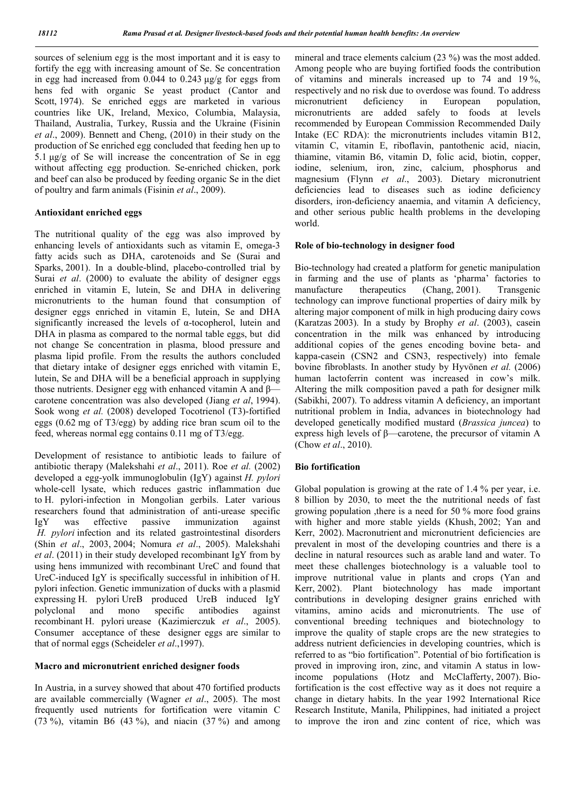sources of selenium egg is the most important and it is easy to fortify the egg with increasing amount of Se. Se concentration in egg had increased from  $0.044$  to  $0.243 \mu$ g/g for eggs from hens fed with organic Se yeast product (Cantor and Scott, 1974). Se enriched eggs are marketed in various countries like UK, Ireland, Mexico, Columbia, Malaysia, Thailand, Australia, Turkey, Russia and the Ukraine (Fisinin *et al*., 2009). Bennett and Cheng, (2010) in their study on the production of Se enriched egg concluded that feeding hen up to 5.1 μg/g of Se will increase the concentration of Se in egg without affecting egg production. Se-enriched chicken, pork and beef can also be produced by feeding organic Se in the diet of poultry and farm animals (Fisinin *et al*., 2009).

## Antioxidant enriched eggs

The nutritional quality of the egg was also improved by enhancing levels of antioxidants such as vitamin E, omega-3 fatty acids such as DHA, carotenoids and Se (Surai and Sparks, 2001). In a double-blind, placebo-controlled trial by Surai *et al.* (2000) to evaluate the ability of designer eggs enriched in vitamin E, lutein, Se and DHA in delivering micronutrients to the human found that consumption of designer eggs enriched in vitamin E, lutein, Se and DHA significantly increased the levels of  $\alpha$ -tocopherol, lutein and DHA in plasma as compared to the normal table eggs, but did not change Se concentration in plasma, blood pressure and plasma lipid profile. From the results the authors concluded that dietary intake of designer eggs enriched with vitamin E, lutein, Se and DHA will be a beneficial approach in supplying those nutrients. Designer egg with enhanced vitamin A and β carotene concentration was also developed (Jiang *et al*, 1994). Sook wong *et al.* (2008) developed Tocotrienol (T3)-fortified eggs (0.62 mg of T3/egg) by adding rice bran scum oil to the feed, whereas normal egg contains 0.11 mg of T3/egg.

Development of resistance to antibiotic leads to failure of antibiotic therapy (Malekshahi *et al*., 2011). Roe *et al.* (2002) developed a egg-yolk immunoglobulin (IgY) against *H. pylori* whole-cell lysate, which reduces gastric inflammation due to H. pylori-infection in Mongolian gerbils. Later various researchers found that administration of anti-urease specific<br>IgY was effective passive immunization against was effective passive immunization against *H. pylori* infection and its related gastrointestinal disorders (Shin *et al*., 2003, 2004; Nomura *et al*., 2005). Malekshahi *et al*. (2011) in their study developed recombinant IgY from by using hens immunized with recombinant UreC and found that UreC-induced IgY is specifically successful in inhibition of H. pylori infection. Genetic immunization of ducks with a plasmid expressing H. pylori UreB produced UreB induced IgY polyclonal and mono specific antibodies against recombinant H. pylori urease (Kazimierczuk *et al*., 2005). Consumer acceptance of these designer eggs are similar to that of normal eggs (Scheideler *et al*.,1997).

## Macro and micronutrient enriched designer foods

In Austria, in a survey showed that about 470 fortified products are available commercially (Wagner *et al*., 2005). The most frequently used nutrients for fortification were vitamin C (73 %), vitamin B6 (43 %), and niacin (37 %) and among mineral and trace elements calcium (23 %) was the most added. Among people who are buying fortified foods the contribution of vitamins and minerals increased up to 74 and 19 %, respectively and no risk due to overdose was found. To address micronutrient deficiency in European population, micronutrients are added safely to foods at levels recommended by European Commission Recommended Daily Intake (EC RDA): the micronutrients includes vitamin B12, vitamin C, vitamin E, riboflavin, pantothenic acid, niacin, thiamine, vitamin B6, vitamin D, folic acid, biotin, copper, iodine, selenium, iron, zinc, calcium, phosphorus and magnesium (Flynn *et al*., 2003). Dietary micronutrient deficiencies lead to diseases such as iodine deficiency disorders, iron-deficiency anaemia, and vitamin A deficiency, and other serious public health problems in the developing world.

## Role of bio-technology in designer food

Bio-technology had created a platform for genetic manipulation in farming and the use of plants as 'pharma' factories to manufacture therapeutics (Chang, 2001). Transgenic technology can improve functional properties of dairy milk by altering major component of milk in high producing dairy cows (Karatzas 2003). In a study by Brophy *et al*. (2003), casein concentration in the milk was enhanced by introducing additional copies of the genes encoding bovine beta- and kappa-casein (CSN2 and CSN3, respectively) into female bovine fibroblasts. In another study by Hyvönen *et al.* (2006) human lactoferrin content was increased in cow's milk. Altering the milk composition paved a path for designer milk (Sabikhi, 2007). To address vitamin A deficiency, an important nutritional problem in India, advances in biotechnology had developed genetically modified mustard (*Brassica juncea*) to express high levels of β—carotene, the precursor of vitamin A (Chow *et al*., 2010).

## Bio fortification

Global population is growing at the rate of 1.4 % per year, i.e. 8 billion by 2030, to meet the the nutritional needs of fast growing population ,there is a need for 50 % more food grains with higher and more stable yields (Khush, 2002; Yan and Kerr, 2002). Macronutrient and micronutrient deficiencies are prevalent in most of the developing countries and there is a decline in natural resources such as arable land and water. To meet these challenges biotechnology is a valuable tool to improve nutritional value in plants and crops (Yan and Kerr, 2002). Plant biotechnology has made important contributions in developing designer grains enriched with vitamins, amino acids and micronutrients. The use of conventional breeding techniques and biotechnology to improve the quality of staple crops are the new strategies to address nutrient deficiencies in developing countries, which is referred to as "bio fortification". Potential of bio fortification is proved in improving iron, zinc, and vitamin A status in lowincome populations (Hotz and McClafferty, 2007). Biofortification is the cost effective way as it does not require a change in dietary habits. In the year 1992 International Rice Research Institute, Manila, Philippines, had initiated a project to improve the iron and zinc content of rice, which was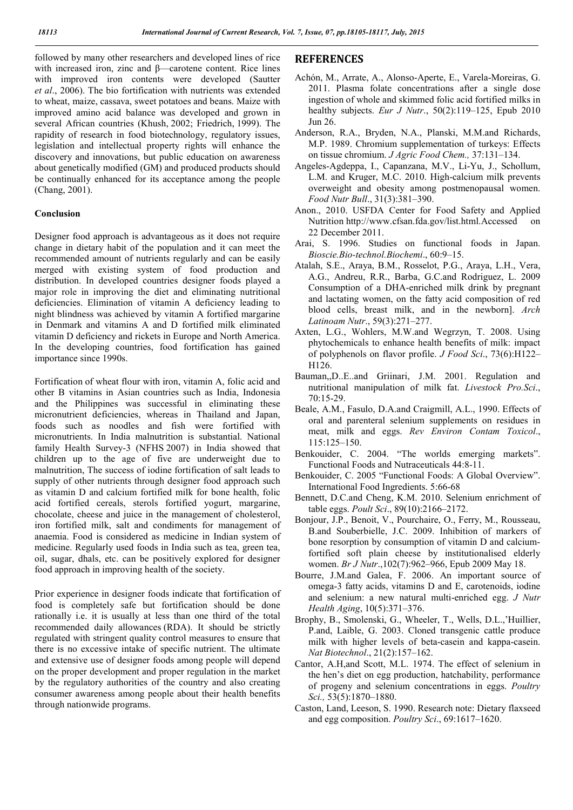followed by many other researchers and developed lines of rice with increased iron, zinc and β—carotene content. Rice lines with improved iron contents were developed (Sautter *et al*., 2006). The bio fortification with nutrients was extended to wheat, maize, cassava, sweet potatoes and beans. Maize with improved amino acid balance was developed and grown in several African countries (Khush, 2002; Friedrich, 1999). The rapidity of research in food biotechnology, regulatory issues, legislation and intellectual property rights will enhance the discovery and innovations, but public education on awareness about genetically modified (GM) and produced products should be continually enhanced for its acceptance among the people (Chang, 2001).

#### Conclusion

Designer food approach is advantageous as it does not require change in dietary habit of the population and it can meet the recommended amount of nutrients regularly and can be easily merged with existing system of food production and distribution. In developed countries designer foods played a major role in improving the diet and eliminating nutritional deficiencies. Elimination of vitamin A deficiency leading to night blindness was achieved by vitamin A fortified margarine in Denmark and vitamins A and D fortified milk eliminated vitamin D deficiency and rickets in Europe and North America. In the developing countries, food fortification has gained importance since 1990s.

Fortification of wheat flour with iron, vitamin A, folic acid and other B vitamins in Asian countries such as India, Indonesia and the Philippines was successful in eliminating these micronutrient deficiencies, whereas in Thailand and Japan, foods such as noodles and fish were fortified with micronutrients. In India malnutrition is substantial. National family Health Survey-3 (NFHS 2007) in India showed that children up to the age of five are underweight due to malnutrition, The success of iodine fortification of salt leads to supply of other nutrients through designer food approach such as vitamin D and calcium fortified milk for bone health, folic acid fortified cereals, sterols fortified yogurt, margarine, chocolate, cheese and juice in the management of cholesterol, iron fortified milk, salt and condiments for management of anaemia. Food is considered as medicine in Indian system of medicine. Regularly used foods in India such as tea, green tea, oil, sugar, dhals, etc. can be positively explored for designer food approach in improving health of the society.

Prior experience in designer foods indicate that fortification of food is completely safe but fortification should be done rationally i.e. it is usually at less than one third of the total recommended daily allowances (RDA). It should be strictly regulated with stringent quality control measures to ensure that there is no excessive intake of specific nutrient. The ultimate and extensive use of designer foods among people will depend on the proper development and proper regulation in the market by the regulatory authorities of the country and also creating consumer awareness among people about their health benefits through nationwide programs.

## **REFERENCES**

- Achón, M., Arrate, A., Alonso-Aperte, E., Varela-Moreiras, G. 2011. Plasma folate concentrations after a single dose ingestion of whole and skimmed folic acid fortified milks in healthy subjects. *Eur J Nutr*., 50(2):119–125, Epub 2010 Jun 26.
- Anderson, R.A., Bryden, N.A., Planski, M.M.and Richards, M.P. 1989. Chromium supplementation of turkeys: Effects on tissue chromium. *J Agric Food Chem.,* 37:131–134.
- Angeles-Agdeppa, I., Capanzana, M.V., Li-Yu, J., Schollum, L.M. and Kruger, M.C. 2010. High-calcium milk prevents overweight and obesity among postmenopausal women. *Food Nutr Bull*., 31(3):381–390.
- Anon., 2010. USFDA Center for Food Safety and Applied Nutrition http://www.cfsan.fda.gov/list.html.Accessed on 22 December 2011.
- Arai, S. 1996. Studies on functional foods in Japan. *Bioscie.Bio-technol.Biochemi*., 60:9–15.
- Atalah, S.E., Araya, B.M., Rosselot, P.G., Araya, L.H., Vera, A.G., Andreu, R.R., Barba, G.C.and Rodriguez, L. 2009 Consumption of a DHA-enriched milk drink by pregnant and lactating women, on the fatty acid composition of red blood cells, breast milk, and in the newborn]. *Arch Latinoam Nutr*., 59(3):271–277.
- Axten, L.G., Wohlers, M.W.and Wegrzyn, T. 2008. Using phytochemicals to enhance health benefits of milk: impact of polyphenols on flavor profile. *J Food Sci*., 73(6):H122– H126.
- Bauman,,D..E..and Griinari, J.M. 2001. Regulation and nutritional manipulation of milk fat. *Livestock Pro.Sci*., 70:15-29.
- Beale, A.M., Fasulo, D.A.and Craigmill, A.L., 1990. Effects of oral and parenteral selenium supplements on residues in meat, milk and eggs. *Rev Environ Contam Toxicol*., 115:125–150.
- Benkouider, C. 2004. "The worlds emerging markets". Functional Foods and Nutraceuticals 44:8-11.
- Benkouider, C. 2005 "Functional Foods: A Global Overview". International Food Ingredients. 5:66-68
- Bennett, D.C.and Cheng, K.M. 2010. Selenium enrichment of table eggs. *Poult Sci*., 89(10):2166–2172.
- Bonjour, J.P., Benoit, V., Pourchaire, O., Ferry, M., Rousseau, B.and Souberbielle, J.C. 2009. Inhibition of markers of bone resorption by consumption of vitamin D and calciumfortified soft plain cheese by institutionalised elderly women. *Br J Nutr*.,102(7):962–966, Epub 2009 May 18.
- Bourre, J.M.and Galea, F. 2006. An important source of omega-3 fatty acids, vitamins D and E, carotenoids, iodine and selenium: a new natural multi-enriched egg. *J Nutr Health Aging*, 10(5):371–376.
- Brophy, B., Smolenski, G., Wheeler, T., Wells, D.L.,'Huillier, P.and, Laible, G. 2003. Cloned transgenic cattle produce milk with higher levels of beta-casein and kappa-casein. *Nat Biotechnol*., 21(2):157–162.
- Cantor, A.H,and Scott, M.L. 1974. The effect of selenium in the hen's diet on egg production, hatchability, performance of progeny and selenium concentrations in eggs. *Poultry Sci.,* 53(5):1870–1880.
- Caston, Land, Leeson, S. 1990. Research note: Dietary flaxseed and egg composition. *Poultry Sci*., 69:1617–1620.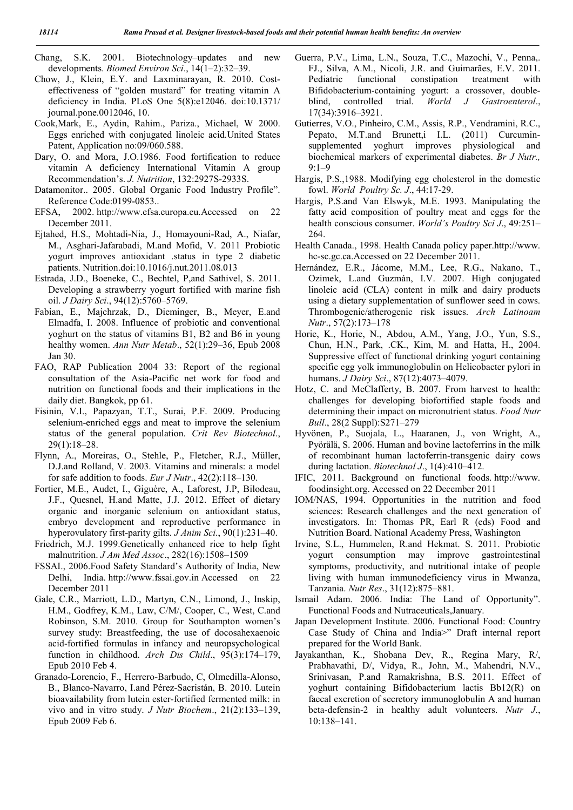Chang, S.K. 2001. Biotechnology–updates and new developments. *Biomed Environ Sci*., 14(1–2):32–39.

- Chow, J., Klein, E.Y. and Laxminarayan, R. 2010. Costeffectiveness of "golden mustard" for treating vitamin A deficiency in India. PLoS One 5(8):e12046. doi:10.1371/ journal.pone.0012046, 10.
- Cook,Mark, E., Aydin, Rahim., Pariza., Michael, W 2000. Eggs enriched with conjugated linoleic acid.United States Patent, Application no:09/060.588.
- Dary, O. and Mora, J.O.1986. Food fortification to reduce vitamin A deficiency International Vitamin A group Recommendation's. *J. Nutrition*, 132:2927S-2933S.
- Datamonitor.. 2005. Global Organic Food Industry Profile". Reference Code:0199-0853..
- EFSA, 2002. http://www.efsa.europa.eu.Accessed on 22 December 2011.
- Ejtahed, H.S., Mohtadi-Nia, J., Homayouni-Rad, A., Niafar, M., Asghari-Jafarabadi, M.and Mofid, V. 2011 Probiotic yogurt improves antioxidant .status in type 2 diabetic patients. Nutrition.doi:10.1016/j.nut.2011.08.013
- Estrada, J.D., Boeneke, C., Bechtel, P,and Sathivel, S. 2011. Developing a strawberry yogurt fortified with marine fish oil. *J Dairy Sci*., 94(12):5760–5769.
- Fabian, E., Majchrzak, D., Dieminger, B., Meyer, E.and Elmadfa, I. 2008. Influence of probiotic and conventional yoghurt on the status of vitamins B1, B2 and B6 in young healthy women. *Ann Nutr Metab*., 52(1):29–36, Epub 2008 Jan 30.
- FAO, RAP Publication 2004 33: Report of the regional consultation of the Asia-Pacific net work for food and nutrition on functional foods and their implications in the daily diet. Bangkok, pp 61.
- Fisinin, V.I., Papazyan, T.T., Surai, P.F. 2009. Producing selenium-enriched eggs and meat to improve the selenium status of the general population. *Crit Rev Biotechnol*., 29(1):18–28.
- Flynn, A., Moreiras, O., Stehle, P., Fletcher, R.J., Müller, D.J.and Rolland, V. 2003. Vitamins and minerals: a model for safe addition to foods. *Eur J Nutr*., 42(2):118–130.
- Fortier, M.E., Audet, I., Giguère, A., Laforest, J.P, Bilodeau, J.F., Quesnel, H.and Matte, J.J. 2012. Effect of dietary organic and inorganic selenium on antioxidant status, embryo development and reproductive performance in hyperovulatory first-parity gilts. *J Anim Sci*., 90(1):231–40.
- Friedrich, M.J. 1999.Genetically enhanced rice to help fight malnutrition. *J Am Med Assoc*., 282(16):1508–1509
- FSSAI., 2006.Food Safety Standard's Authority of India, New Delhi, India. http://www.fssai.gov.in Accessed on 22 December 2011
- Gale, C.R., Marriott, L.D., Martyn, C.N., Limond, J., Inskip, H.M., Godfrey, K.M., Law, C/M/, Cooper, C., West, C.and Robinson, S.M. 2010. Group for Southampton women's survey study: Breastfeeding, the use of docosahexaenoic acid-fortified formulas in infancy and neuropsychological function in childhood. *Arch Dis Child*., 95(3):174–179, Epub 2010 Feb 4.
- Granado-Lorencio, F., Herrero-Barbudo, C, Olmedilla-Alonso, B., Blanco-Navarro, I.and Pérez-Sacristán, B. 2010. Lutein bioavailability from lutein ester-fortified fermented milk: in vivo and in vitro study. *J Nutr Biochem*., 21(2):133–139, Epub 2009 Feb 6.
- Guerra, P.V., Lima, L.N., Souza, T.C., Mazochi, V., Penna,. FJ., Silva, A.M., Nicoli, J.R. and Guimarães, E.V. 2011. Pediatric functional constipation treatment with Bifidobacterium-containing yogurt: a crossover, doubleblind, controlled trial. *World J Gastroenterol*., 17(34):3916–3921.
- Gutierres, V.O., Pinheiro, C.M., Assis, R.P., Vendramini, R.C., Pepato, M.T.and Brunett,i I.L. (2011) Curcuminsupplemented yoghurt improves physiological and biochemical markers of experimental diabetes. *Br J Nutr.,* 9:1–9
- Hargis, P.S.,1988. Modifying egg cholesterol in the domestic fowl. *World Poultry Sc. J*., 44:17-29.
- Hargis, P.S.and Van Elswyk, M.E. 1993. Manipulating the fatty acid composition of poultry meat and eggs for the health conscious consumer. *World's Poultry Sci J*., 49:251– 264.
- Health Canada., 1998. Health Canada policy paper.http://www. hc-sc.gc.ca.Accessed on 22 December 2011.
- Hernández, E.R., Jácome, M.M., Lee, R.G., Nakano, T., Ozimek, L.and Guzmán, I.V. 2007. High conjugated linoleic acid (CLA) content in milk and dairy products using a dietary supplementation of sunflower seed in cows. Thrombogenic/atherogenic risk issues. *Arch Latinoam Nutr*., 57(2):173–178
- Horie, K., Horie, N., Abdou, A.M., Yang, J.O., Yun, S.S., Chun, H.N., Park, .CK., Kim, M. and Hatta, H., 2004. Suppressive effect of functional drinking yogurt containing specific egg yolk immunoglobulin on Helicobacter pylori in humans. *J Dairy Sci*., 87(12):4073–4079.
- Hotz, C. and McClafferty, B. 2007. From harvest to health: challenges for developing biofortified staple foods and determining their impact on micronutrient status. *Food Nutr Bull*., 28(2 Suppl):S271–279
- Hyvönen, P., Suojala, L., Haaranen, J., von Wright, A., Pyörälä, S. 2006. Human and bovine lactoferrins in the milk of recombinant human lactoferrin-transgenic dairy cows during lactation. *Biotechnol J*., 1(4):410–412.
- IFIC, 2011. Background on functional foods. http://www. foodinsight.org. Accessed on 22 December 2011
- IOM/NAS, 1994. Opportunities in the nutrition and food sciences: Research challenges and the next generation of investigators. In: Thomas PR, Earl R (eds) Food and Nutrition Board. National Academy Press, Washington
- Irvine, S.L., Hummelen, R.and Hekmat. S. 2011. Probiotic yogurt consumption may improve gastrointestinal symptoms, productivity, and nutritional intake of people living with human immunodeficiency virus in Mwanza, Tanzania. *Nutr Res*., 31(12):875–881.
- Ismail Adam. 2006. India: The Land of Opportunity". Functional Foods and Nutraceuticals,January.
- Japan Development Institute. 2006. Functional Food: Country Case Study of China and India>" Draft internal report prepared for the World Bank.
- Jayakanthan, K., Shobana Dev, R., Regina Mary, R/, Prabhavathi, D/, Vidya, R., John, M., Mahendri, N.V., Srinivasan, P.and Ramakrishna, B.S. 2011. Effect of yoghurt containing Bifidobacterium lactis Bb12(R) on faecal excretion of secretory immunoglobulin A and human beta-defensin-2 in healthy adult volunteers. *Nutr J*., 10:138–141.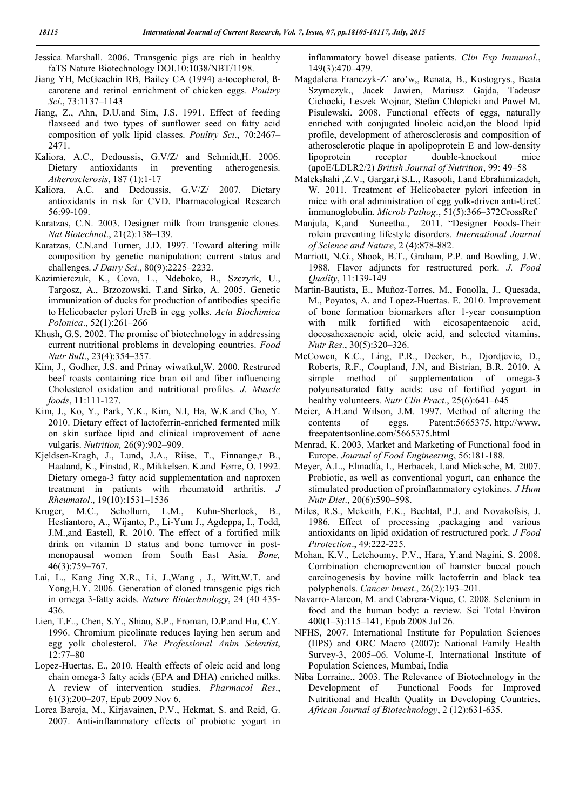- Jessica Marshall. 2006. Transgenic pigs are rich in healthy faTS Nature Biotechnology DOI.10:1038/NBT/1198.
- Jiang YH, McGeachin RB, Bailey CA (1994) a-tocopherol, ßcarotene and retinol enrichment of chicken eggs. *Poultry Sci*., 73:1137–1143
- Jiang, Z., Ahn, D.U.and Sim, J.S. 1991. Effect of feeding flaxseed and two types of sunflower seed on fatty acid composition of yolk lipid classes. *Poultry Sci*., 70:2467– 2471.
- Kaliora, A.C., Dedoussis, G.V/Z/ and Schmidt,H. 2006. Dietary antioxidants in preventing atherogenesis. *Atherosclerosis*, 187 (1):1-17
- Kaliora, A.C. and Dedoussis, G.V/Z/ 2007. Dietary antioxidants in risk for CVD. Pharmacological Research 56:99-109.
- Karatzas, C.N. 2003. Designer milk from transgenic clones. *Nat Biotechnol*., 21(2):138–139.
- Karatzas, C.N.and Turner, J.D. 1997. Toward altering milk composition by genetic manipulation: current status and challenges. *J Dairy Sci*., 80(9):2225–2232.
- Kazimierczuk, K., Cova, L., Ndeboko, B., Szczyrk, U., Targosz, A., Brzozowski, T.and Sirko, A. 2005. Genetic immunization of ducks for production of antibodies specific to Helicobacter pylori UreB in egg yolks. *Acta Biochimica Polonica*., 52(1):261–266
- Khush, G.S. 2002. The promise of biotechnology in addressing current nutritional problems in developing countries. *Food Nutr Bull*., 23(4):354–357.
- Kim, J., Godher, J.S. and Prinay wiwatkul,W. 2000. Restrured beef roasts containing rice bran oil and fiber influencing Cholesterol oxidation and nutritional profiles. *J. Muscle foods*, 11:111-127.
- Kim, J., Ko, Y., Park, Y.K., Kim, N.I, Ha, W.K.and Cho, Y. 2010. Dietary effect of lactoferrin-enriched fermented milk on skin surface lipid and clinical improvement of acne vulgaris. *Nutrition,* 26(9):902–909.
- Kjeldsen-Kragh, J., Lund, J.A., Riise, T., Finnange,r B., Haaland, K., Finstad, R., Mikkelsen. K.and Førre, O. 1992. Dietary omega-3 fatty acid supplementation and naproxen treatment in patients with rheumatoid arthritis. *J Rheumatol*., 19(10):1531–1536
- Kruger, M.C., Schollum, L.M., Kuhn-Sherlock, B., Hestiantoro, A., Wijanto, P., Li-Yum J., Agdeppa, I., Todd, J.M.,and Eastell, R. 2010. The effect of a fortified milk drink on vitamin D status and bone turnover in postmenopausal women from South East Asia. *Bone,* 46(3):759–767.
- Lai, L., Kang Jing X.R., Li, J.,Wang , J., Witt,W.T. and Yong,H.Y. 2006. Generation of cloned transgenic pigs rich in omega 3-fatty acids. *Nature Biotechnology*, 24 (40 435- 436.
- Lien, T.F.., Chen, S.Y., Shiau, S.P., Froman, D.P.and Hu, C.Y. 1996. Chromium picolinate reduces laying hen serum and egg yolk cholesterol. *The Professional Anim Scientist*, 12:77–80
- Lopez-Huertas, E., 2010. Health effects of oleic acid and long chain omega-3 fatty acids (EPA and DHA) enriched milks. A review of intervention studies. *Pharmacol Res*., 61(3):200–207, Epub 2009 Nov 6.
- Lorea Baroja, M., Kirjavainen, P.V., Hekmat, S. and Reid, G. 2007. Anti-inflammatory effects of probiotic yogurt in

inflammatory bowel disease patients. *Clin Exp Immunol*., 149(3):470–479.

- Magdalena Franczyk-Z˙ aro'w,, Renata, B., Kostogrys., Beata Szymczyk., Jacek Jawien, Mariusz Gajda, Tadeusz Cichocki, Leszek Wojnar, Stefan Chlopicki and Paweł M. Pisulewski. 2008. Functional effects of eggs, naturally enriched with conjugated linoleic acid,on the blood lipid profile, development of atherosclerosis and composition of atherosclerotic plaque in apolipoprotein E and low-density lipoprotein receptor double-knockout mice (apoE/LDLR2/2) *British Journal of Nutrition*, 99: 49–58
- Malekshahi ,Z.V., Gargar,i S.L., Rasooli, I.and Ebrahimizadeh, W. 2011. Treatment of Helicobacter pylori infection in mice with oral administration of egg yolk-driven anti-UreC immunoglobulin. *Microb Pathog*., 51(5):366–372CrossRef
- Manjula, K,and Suneetha., 2011. "Designer Foods-Their rolein preventing lifestyle disorders. *International Journal of Science and Nature*, 2 (4):878-882.
- Marriott, N.G., Shook, B.T., Graham, P.P. and Bowling, J.W. 1988. Flavor adjuncts for restructured pork. *J. Food Quality*, 11:139-149
- Martin-Bautista, E., Muñoz-Torres, M., Fonolla, J., Quesada, M., Poyatos, A. and Lopez-Huertas. E. 2010. Improvement of bone formation biomarkers after 1-year consumption with milk fortified with eicosapentaenoic acid, docosahexaenoic acid, oleic acid, and selected vitamins. *Nutr Res*., 30(5):320–326.
- McCowen, K.C., Ling, P.R., Decker, E., Djordjevic, D., Roberts, R.F., Coupland, J.N, and Bistrian, B.R. 2010. A simple method of supplementation of omega-3 polyunsaturated fatty acids: use of fortified yogurt in healthy volunteers. *Nutr Clin Pract*., 25(6):641–645
- Meier, A.H.and Wilson, J.M. 1997. Method of altering the contents of eggs. Patent:5665375. http://www. freepatentsonline.com/5665375.html
- Menrad, K. 2003, Market and Marketing of Functional food in Europe. *Journal of Food Engineering*, 56:181-188.
- Meyer, A.L., Elmadfa, I., Herbacek, I.and Micksche, M. 2007. Probiotic, as well as conventional yogurt, can enhance the stimulated production of proinflammatory cytokines. *J Hum Nutr Diet*., 20(6):590–598.
- Miles, R.S., Mckeith, F.K., Bechtal, P.J. and Novakofsis, J. 1986. Effect of processing ,packaging and various antioxidants on lipid oxidation of restructured pork. *J Food Ptrotection*., 49:222-225.
- Mohan, K.V., Letchoumy, P.V., Hara, Y.and Nagini, S. 2008. Combination chemoprevention of hamster buccal pouch carcinogenesis by bovine milk lactoferrin and black tea polyphenols. *Cancer Invest*., 26(2):193–201.
- Navarro-Alarcon, M. and Cabrera-Vique, C. 2008. Selenium in food and the human body: a review. Sci Total Environ 400(1–3):115–141, Epub 2008 Jul 26.
- NFHS, 2007. International Institute for Population Sciences (IIPS) and ORC Macro (2007): National Family Health Survey-3, 2005–06. Volume-I, International Institute of Population Sciences, Mumbai, India
- Niba Lorraine., 2003. The Relevance of Biotechnology in the Development of Functional Foods for Improved Nutritional and Health Quality in Developing Countries. *African Journal of Biotechnology*, 2 (12):631-635.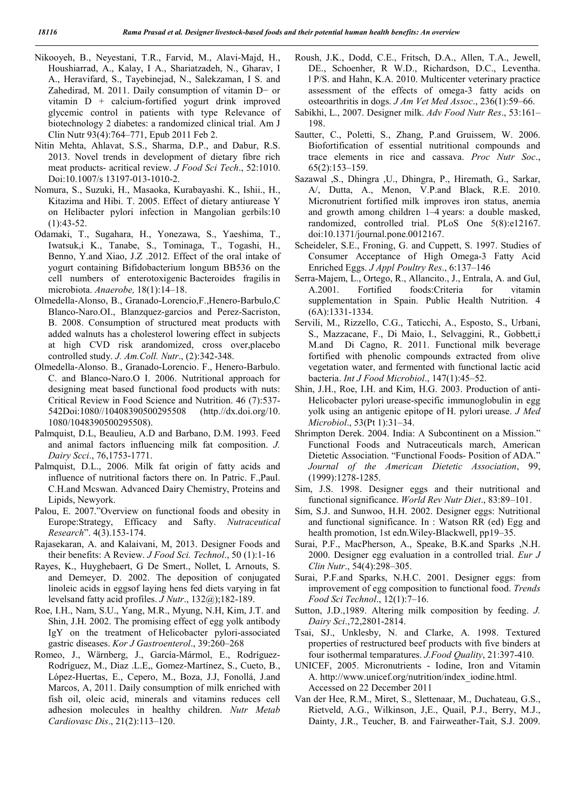- Nikooyeh, B., Neyestani, T.R., Farvid, M., Alavi-Majd, H., Houshiarrad, A., Kalay, I A., Shariatzadeh, N., Gharav, I A., Heravifard, S., Tayebinejad, N., Salekzaman, I S. and Zahedirad, M. 2011. Daily consumption of vitamin D− or vitamin D + calcium-fortified yogurt drink improved glycemic control in patients with type Relevance of biotechnology 2 diabetes: a randomized clinical trial. Am J Clin Nutr 93(4):764–771, Epub 2011 Feb 2.
- Nitin Mehta, Ahlavat, S.S., Sharma, D.P., and Dabur, R.S. 2013. Novel trends in development of dietary fibre rich meat products- acritical review. *J Food Sci Tech*., 52:1010. Doi:10.1007/s 13197-013-1010-2.
- Nomura, S., Suzuki, H., Masaoka, Kurabayashi. K., Ishii., H., Kitazima and Hibi. T. 2005. Effect of dietary antiurease Y on Helibacter pylori infection in Mangolian gerbils:10  $(1):43-52.$
- Odamaki, T., Sugahara, H., Yonezawa, S., Yaeshima, T., Iwatsuk,i K., Tanabe, S., Tominaga, T., Togashi, H., Benno, Y.and Xiao, J.Z .2012. Effect of the oral intake of yogurt containing Bifidobacterium longum BB536 on the cell numbers of enterotoxigenic Bacteroides fragilis in microbiota. *Anaerobe,* 18(1):14–18.
- Olmedella-Alonso, B., Granado-Lorencio,F.,Henero-Barbulo,C Blanco-Naro.OI., Blanzquez-garcios and Perez-Sacriston, B. 2008. Consumption of structured meat products with added walnuts has a cholesterol lowering effect in subjects at high CVD risk arandomized, cross over,placebo controlled study. *J. Am.Coll. Nutr*., (2):342-348.
- Olmedella-Alonso. B., Granado-Lorencio. F., Henero-Barbulo. C. and Blanco-Naro.O I. 2006. Nutritional approach for designing meat based functional food products with nuts: Critical Review in Food Science and Nutrition. 46 (7):537- 542Doi:1080//10408390500295508 (http.//dx.doi.org/10. 1080/1048390500295508).
- Palmquist, D.L, Beaulieu, A.D and Barbano, D.M. 1993. Feed and animal factors influencing milk fat composition. *J. Dairy Scci*., 76,1753-1771.
- Palmquist, D.L., 2006. Milk fat origin of fatty acids and influence of nutritional factors there on. In Patric. F.,Paul. C.H.and Mcswan. Advanced Dairy Chemistry, Proteins and Lipids, Newyork.
- Palou, E. 2007."Overview on functional foods and obesity in Europe:Strategy, Efficacy and Safty. *Nutraceutical Research*". 4(3).153-174.
- Rajasekaran, A. and Kalaivani, M, 2013. Designer Foods and their benefits: A Review. *J Food Sci. Technol*., 50 (1):1-16
- Rayes, K., Huyghebaert, G De Smert., Nollet, L Arnouts, S. and Demeyer, D. 2002. The deposition of conjugated linoleic acids in eggsof laying hens fed diets varying in fat levelsand fatty acid profiles. *J Nutr*., 132@);182-189.
- Roe, I.H., Nam, S.U., Yang, M.R., Myung, N.H, Kim, J.T. and Shin, J.H. 2002. The promising effect of egg yolk antibody IgY on the treatment of Helicobacter pylori-associated gastric diseases. *Kor J Gastroenterol*., 39:260–268
- Romeo, J., Wärnberg, J., García-Mármol, E., Rodríguez-Rodríguez, M., Diaz .L.E,, Gomez-Martínez, S., Cueto, B., López-Huertas, E., Cepero, M., Boza, J.J, Fonollá, J.and Marcos, A, 2011. Daily consumption of milk enriched with fish oil, oleic acid, minerals and vitamins reduces cell adhesion molecules in healthy children. *Nutr Metab Cardiovasc Dis*., 21(2):113–120.
- Roush, J.K., Dodd, C.E., Fritsch, D.A., Allen, T.A., Jewell, DE., Schoenher, R W.D., Richardson, D.C., Leventha. l P/S. and Hahn, K.A. 2010. Multicenter veterinary practice assessment of the effects of omega-3 fatty acids on osteoarthritis in dogs. *J Am Vet Med Assoc*., 236(1):59–66.
- Sabikhi, L., 2007. Designer milk. *Adv Food Nutr Res*., 53:161– 198.
- Sautter, C., Poletti, S., Zhang, P.and Gruissem, W. 2006. Biofortification of essential nutritional compounds and trace elements in rice and cassava. *Proc Nutr Soc*., 65(2):153–159.
- Sazawal ,S., Dhingra ,U., Dhingra, P., Hiremath, G., Sarkar, A/, Dutta, A., Menon, V.P.and Black, R.E. 2010. Micronutrient fortified milk improves iron status, anemia and growth among children 1–4 years: a double masked, randomized, controlled trial. PLoS One 5(8):e12167. doi:10.1371/journal.pone.0012167.
- Scheideler, S.E., Froning, G. and Cuppett, S. 1997. Studies of Consumer Acceptance of High Omega-3 Fatty Acid Enriched Eggs. *J Appl Poultry Res*., 6:137–146
- Serra-Majem, L., Ortego, R., Allancito., J., Entrala, A. and Gul, A.2001. Fortified foods:Criteria for vitamin supplementation in Spain. Public Health Nutrition. 4 (6A):1331-1334.
- Servili, M., Rizzello, C.G., Taticchi, A., Esposto, S., Urbani, S., Mazzacane, F., Di Maio, I., Selvaggini, R., Gobbett,i M.and Di Cagno, R. 2011. Functional milk beverage fortified with phenolic compounds extracted from olive vegetation water, and fermented with functional lactic acid bacteria. *Int J Food Microbiol*., 147(1):45–52.
- Shin, J.H., Roe, I.H. and Kim, H.G. 2003. Production of anti-Helicobacter pylori urease-specific immunoglobulin in egg yolk using an antigenic epitope of H. pylori urease. *J Med Microbiol*., 53(Pt 1):31–34.
- Shrimpton Derek. 2004. India: A Subcontinent on a Mission." Functional Foods and Nutraceuticals march, American Dietetic Association. "Functional Foods- Position of ADA." *Journal of the American Dietetic Association*, 99, (1999):1278-1285.
- Sim, J.S. 1998. Designer eggs and their nutritional and functional significance. *World Rev Nutr Diet*., 83:89–101.
- Sim, S.J. and Sunwoo, H.H. 2002. Designer eggs: Nutritional and functional significance. In : Watson RR (ed) Egg and health promotion, 1st edn.Wiley-Blackwell, pp19–35.
- Surai, P.F., MacPherson, A., Speake, B.K.and Sparks ,N.H. 2000. Designer egg evaluation in a controlled trial. *Eur J Clin Nutr*., 54(4):298–305.
- Surai, P.F.and Sparks, N.H.C. 2001. Designer eggs: from improvement of egg composition to functional food. *Trends Food Sci Technol*., 12(1):7–16.
- Sutton, J.D.,1989. Altering milk composition by feeding. *J. Dairy Sci*.,72,2801-2814.
- Tsai, SJ., Unklesby, N. and Clarke, A. 1998. Textured properties of restructured beef products with five binders at four isothermal temparatures. *J.Food Quality*, 21:397-410.
- UNICEF, 2005. Micronutrients Iodine, Iron and Vitamin A. http://www.unicef.org/nutrition/index\_iodine.html. Accessed on 22 December 2011
- Van der Hee, R.M., Miret, S., Slettenaar, M., Duchateau, G.S., Rietveld, A.G., Wilkinson, J,E., Quail, P.J., Berry, M.J., Dainty, J.R., Teucher, B. and Fairweather-Tait, S.J. 2009.